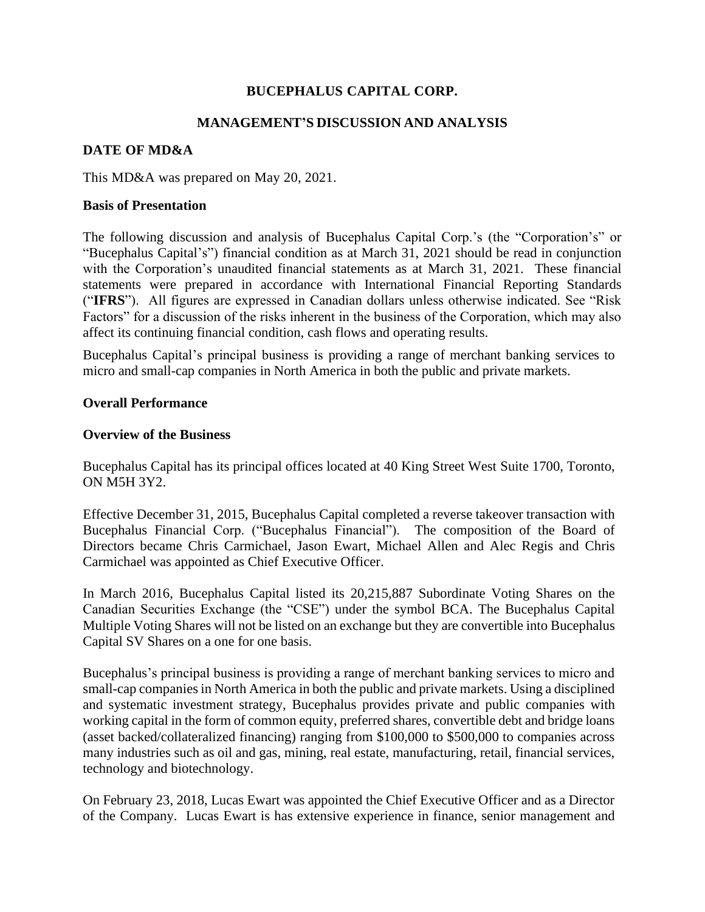# **BUCEPHALUS CAPITAL CORP.**

## **MANAGEMENT'S DISCUSSION AND ANALYSIS**

## **DATE OF MD&A**

This MD&A was prepared on May 20, 2021.

#### **Basis of Presentation**

The following discussion and analysis of Bucephalus Capital Corp.'s (the "Corporation's" or "Bucephalus Capital's") financial condition as at March 31, 2021 should be read in conjunction with the Corporation's unaudited financial statements as at March 31, 2021. These financial statements were prepared in accordance with International Financial Reporting Standards ("**IFRS**"). All figures are expressed in Canadian dollars unless otherwise indicated. See "Risk Factors" for a discussion of the risks inherent in the business of the Corporation, which may also affect its continuing financial condition, cash flows and operating results.

Bucephalus Capital's principal business is providing a range of merchant banking services to micro and small-cap companies in North America in both the public and private markets.

### **Overall Performance**

#### **Overview of the Business**

Bucephalus Capital has its principal offices located at 40 King Street West Suite 1700, Toronto, ON M5H 3Y2.

Effective December 31, 2015, Bucephalus Capital completed a reverse takeover transaction with Bucephalus Financial Corp. ("Bucephalus Financial"). The composition of the Board of Directors became Chris Carmichael, Jason Ewart, Michael Allen and Alec Regis and Chris Carmichael was appointed as Chief Executive Officer.

In March 2016, Bucephalus Capital listed its 20,215,887 Subordinate Voting Shares on the Canadian Securities Exchange (the "CSE") under the symbol BCA. The Bucephalus Capital Multiple Voting Shares will not be listed on an exchange but they are convertible into Bucephalus Capital SV Shares on a one for one basis.

Bucephalus's principal business is providing a range of merchant banking services to micro and small-cap companies in North America in both the public and private markets. Using a disciplined and systematic investment strategy, Bucephalus provides private and public companies with working capital in the form of common equity, preferred shares, convertible debt and bridge loans (asset backed/collateralized financing) ranging from \$100,000 to \$500,000 to companies across many industries such as oil and gas, mining, real estate, manufacturing, retail, financial services, technology and biotechnology.

On February 23, 2018, Lucas Ewart was appointed the Chief Executive Officer and as a Director of the Company. Lucas Ewart is has extensive experience in finance, senior management and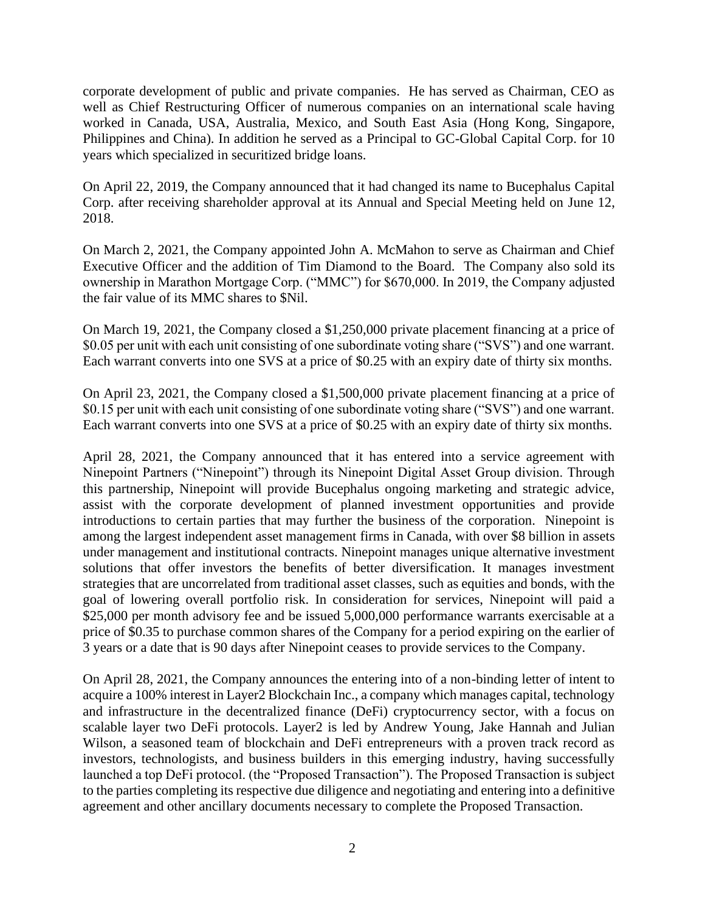corporate development of public and private companies. He has served as Chairman, CEO as well as Chief Restructuring Officer of numerous companies on an international scale having worked in Canada, USA, Australia, Mexico, and South East Asia (Hong Kong, Singapore, Philippines and China). In addition he served as a Principal to GC-Global Capital Corp. for 10 years which specialized in securitized bridge loans.

On April 22, 2019, the Company announced that it had changed its name to Bucephalus Capital Corp. after receiving shareholder approval at its Annual and Special Meeting held on June 12, 2018.

On March 2, 2021, the Company appointed John A. McMahon to serve as Chairman and Chief Executive Officer and the addition of Tim Diamond to the Board. The Company also sold its ownership in Marathon Mortgage Corp. ("MMC") for \$670,000. In 2019, the Company adjusted the fair value of its MMC shares to \$Nil.

On March 19, 2021, the Company closed a \$1,250,000 private placement financing at a price of \$0.05 per unit with each unit consisting of one subordinate voting share ("SVS") and one warrant. Each warrant converts into one SVS at a price of \$0.25 with an expiry date of thirty six months.

On April 23, 2021, the Company closed a \$1,500,000 private placement financing at a price of \$0.15 per unit with each unit consisting of one subordinate voting share ("SVS") and one warrant. Each warrant converts into one SVS at a price of \$0.25 with an expiry date of thirty six months.

April 28, 2021, the Company announced that it has entered into a service agreement with Ninepoint Partners ("Ninepoint") through its Ninepoint Digital Asset Group division. Through this partnership, Ninepoint will provide Bucephalus ongoing marketing and strategic advice, assist with the corporate development of planned investment opportunities and provide introductions to certain parties that may further the business of the corporation. Ninepoint is among the largest independent asset management firms in Canada, with over \$8 billion in assets under management and institutional contracts. Ninepoint manages unique alternative investment solutions that offer investors the benefits of better diversification. It manages investment strategies that are uncorrelated from traditional asset classes, such as equities and bonds, with the goal of lowering overall portfolio risk. In consideration for services, Ninepoint will paid a \$25,000 per month advisory fee and be issued 5,000,000 performance warrants exercisable at a price of \$0.35 to purchase common shares of the Company for a period expiring on the earlier of 3 years or a date that is 90 days after Ninepoint ceases to provide services to the Company.

On April 28, 2021, the Company announces the entering into of a non-binding letter of intent to acquire a 100% interest in Layer2 Blockchain Inc., a company which manages capital, technology and infrastructure in the decentralized finance (DeFi) cryptocurrency sector, with a focus on scalable layer two DeFi protocols. Layer2 is led by Andrew Young, Jake Hannah and Julian Wilson, a seasoned team of blockchain and DeFi entrepreneurs with a proven track record as investors, technologists, and business builders in this emerging industry, having successfully launched a top DeFi protocol. (the "Proposed Transaction"). The Proposed Transaction is subject to the parties completing its respective due diligence and negotiating and entering into a definitive agreement and other ancillary documents necessary to complete the Proposed Transaction.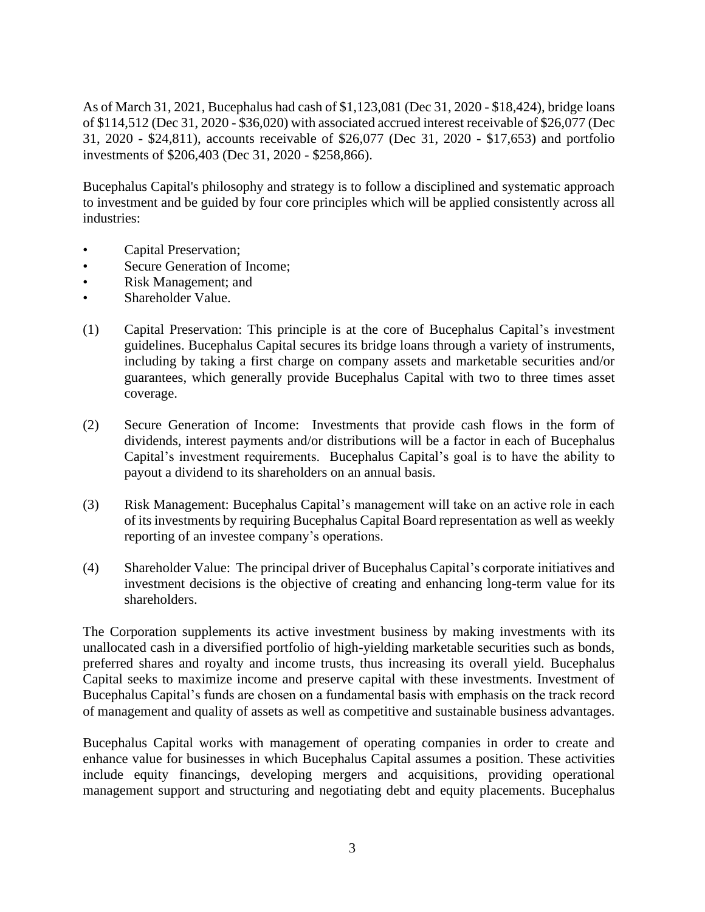As of March 31, 2021, Bucephalus had cash of \$1,123,081 (Dec 31, 2020 - \$18,424), bridge loans of \$114,512 (Dec 31, 2020 - \$36,020) with associated accrued interest receivable of \$26,077 (Dec 31, 2020 - \$24,811), accounts receivable of \$26,077 (Dec 31, 2020 - \$17,653) and portfolio investments of \$206,403 (Dec 31, 2020 - \$258,866).

Bucephalus Capital's philosophy and strategy is to follow a disciplined and systematic approach to investment and be guided by four core principles which will be applied consistently across all industries:

- Capital Preservation;
- Secure Generation of Income;
- Risk Management; and
- Shareholder Value.
- (1) Capital Preservation: This principle is at the core of Bucephalus Capital's investment guidelines. Bucephalus Capital secures its bridge loans through a variety of instruments, including by taking a first charge on company assets and marketable securities and/or guarantees, which generally provide Bucephalus Capital with two to three times asset coverage.
- (2) Secure Generation of Income: Investments that provide cash flows in the form of dividends, interest payments and/or distributions will be a factor in each of Bucephalus Capital's investment requirements. Bucephalus Capital's goal is to have the ability to payout a dividend to its shareholders on an annual basis.
- (3) Risk Management: Bucephalus Capital's management will take on an active role in each of its investments by requiring Bucephalus Capital Board representation as well as weekly reporting of an investee company's operations.
- (4) Shareholder Value: The principal driver of Bucephalus Capital's corporate initiatives and investment decisions is the objective of creating and enhancing long-term value for its shareholders.

The Corporation supplements its active investment business by making investments with its unallocated cash in a diversified portfolio of high-yielding marketable securities such as bonds, preferred shares and royalty and income trusts, thus increasing its overall yield. Bucephalus Capital seeks to maximize income and preserve capital with these investments. Investment of Bucephalus Capital's funds are chosen on a fundamental basis with emphasis on the track record of management and quality of assets as well as competitive and sustainable business advantages.

Bucephalus Capital works with management of operating companies in order to create and enhance value for businesses in which Bucephalus Capital assumes a position. These activities include equity financings, developing mergers and acquisitions, providing operational management support and structuring and negotiating debt and equity placements. Bucephalus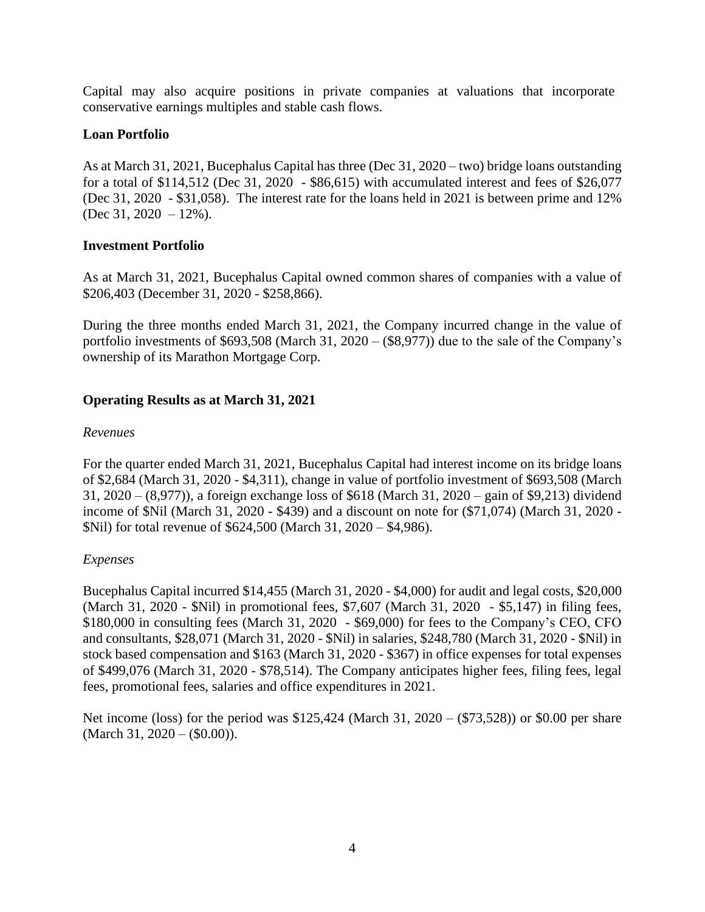Capital may also acquire positions in private companies at valuations that incorporate conservative earnings multiples and stable cash flows.

## **Loan Portfolio**

As at March 31, 2021, Bucephalus Capital has three (Dec 31, 2020 – two) bridge loans outstanding for a total of \$114,512 (Dec 31, 2020 - \$86,615) with accumulated interest and fees of \$26,077 (Dec 31, 2020 - \$31,058). The interest rate for the loans held in 2021 is between prime and 12% (Dec 31, 2020 – 12%).

## **Investment Portfolio**

As at March 31, 2021, Bucephalus Capital owned common shares of companies with a value of \$206,403 (December 31, 2020 - \$258,866).

During the three months ended March 31, 2021, the Company incurred change in the value of portfolio investments of \$693,508 (March 31, 2020 – (\$8,977)) due to the sale of the Company's ownership of its Marathon Mortgage Corp.

# **Operating Results as at March 31, 2021**

### *Revenues*

For the quarter ended March 31, 2021, Bucephalus Capital had interest income on its bridge loans of \$2,684 (March 31, 2020 - \$4,311), change in value of portfolio investment of \$693,508 (March 31, 2020 – (8,977)), a foreign exchange loss of \$618 (March 31, 2020 – gain of \$9,213) dividend income of \$Nil (March 31, 2020 - \$439) and a discount on note for (\$71,074) (March 31, 2020 - \$Nil) for total revenue of \$624,500 (March 31, 2020 – \$4,986).

### *Expenses*

Bucephalus Capital incurred \$14,455 (March 31, 2020 - \$4,000) for audit and legal costs, \$20,000 (March 31, 2020 - \$Nil) in promotional fees, \$7,607 (March 31, 2020 - \$5,147) in filing fees, \$180,000 in consulting fees (March 31, 2020 - \$69,000) for fees to the Company's CEO, CFO and consultants, \$28,071 (March 31, 2020 - \$Nil) in salaries, \$248,780 (March 31, 2020 - \$Nil) in stock based compensation and \$163 (March 31, 2020 - \$367) in office expenses for total expenses of \$499,076 (March 31, 2020 - \$78,514). The Company anticipates higher fees, filing fees, legal fees, promotional fees, salaries and office expenditures in 2021.

Net income (loss) for the period was \$125,424 (March 31, 2020 – (\$73,528)) or \$0.00 per share (March 31,  $2020 - (0.00)$ ).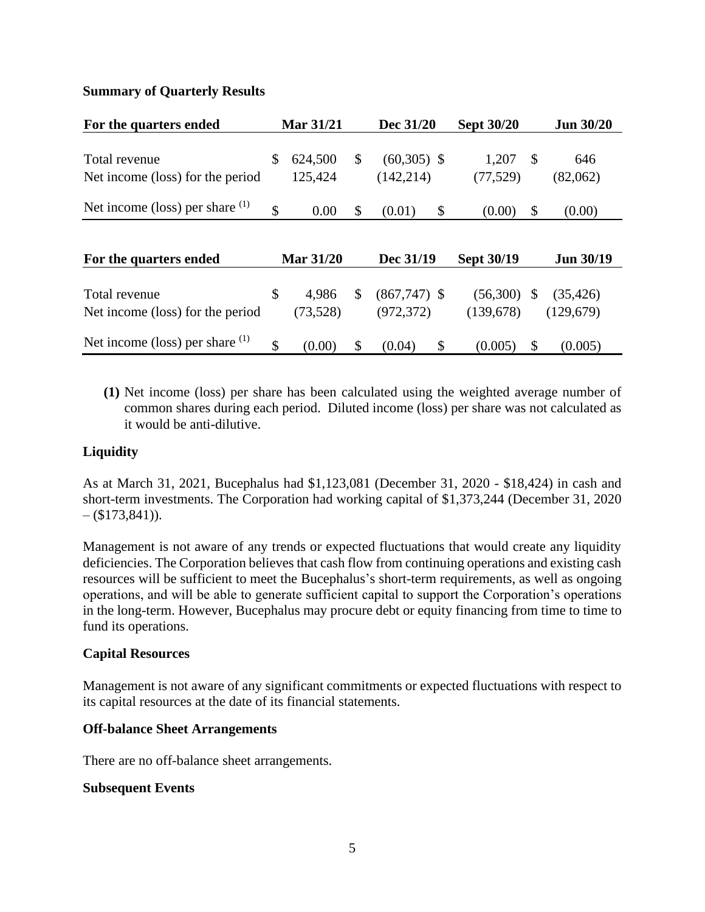## **Summary of Quarterly Results**

| For the quarters ended                            | <b>Mar 31/21</b>         | Dec 31/20                         | <b>Sept 30/20</b> |                           | <b>Jun 30/20</b> |
|---------------------------------------------------|--------------------------|-----------------------------------|-------------------|---------------------------|------------------|
| Total revenue<br>Net income (loss) for the period | \$<br>624,500<br>125,424 | \$<br>$(60,305)$ \$<br>(142, 214) | 1,207<br>(77,529) | $\boldsymbol{\mathsf{S}}$ | 646<br>(82,062)  |
| Net income (loss) per share $(1)$                 | \$<br>0.00               | \$<br>(0.01)                      | \$<br>(0.00)      | \$                        | (0.00)           |
|                                                   |                          |                                   |                   |                           |                  |
| For the quarters ended                            | <b>Mar 31/20</b>         | Dec 31/19                         | <b>Sept 30/19</b> |                           | <b>Jun 30/19</b> |
| Total revenue                                     | \$<br>4,986              | \$<br>$(867,747)$ \$              | (56,300)          | $\boldsymbol{\mathsf{S}}$ | (35, 426)        |
| Net income (loss) for the period                  | (73,528)                 | (972, 372)                        | (139,678)         |                           | (129,679)        |
| Net income (loss) per share $(1)$                 | \$<br>(0.00)             | \$<br>(0.04)                      | \$<br>(0.005)     | \$                        | (0.005)          |

**(1)** Net income (loss) per share has been calculated using the weighted average number of common shares during each period. Diluted income (loss) per share was not calculated as it would be anti-dilutive.

### **Liquidity**

As at March 31, 2021, Bucephalus had \$1,123,081 (December 31, 2020 - \$18,424) in cash and short-term investments. The Corporation had working capital of \$1,373,244 (December 31, 2020  $-$  (\$173,841)).

Management is not aware of any trends or expected fluctuations that would create any liquidity deficiencies. The Corporation believes that cash flow from continuing operations and existing cash resources will be sufficient to meet the Bucephalus's short-term requirements, as well as ongoing operations, and will be able to generate sufficient capital to support the Corporation's operations in the long-term. However, Bucephalus may procure debt or equity financing from time to time to fund its operations.

### **Capital Resources**

Management is not aware of any significant commitments or expected fluctuations with respect to its capital resources at the date of its financial statements.

### **Off-balance Sheet Arrangements**

There are no off-balance sheet arrangements.

### **Subsequent Events**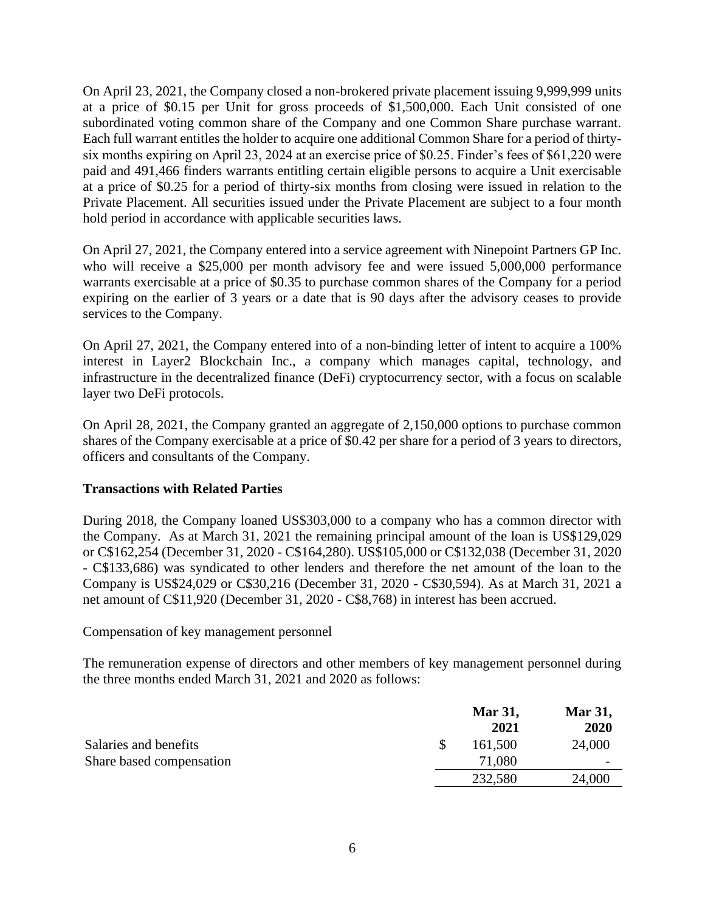On April 23, 2021, the Company closed a non-brokered private placement issuing 9,999,999 units at a price of \$0.15 per Unit for gross proceeds of \$1,500,000. Each Unit consisted of one subordinated voting common share of the Company and one Common Share purchase warrant. Each full warrant entitles the holder to acquire one additional Common Share for a period of thirtysix months expiring on April 23, 2024 at an exercise price of \$0.25. Finder's fees of \$61,220 were paid and 491,466 finders warrants entitling certain eligible persons to acquire a Unit exercisable at a price of \$0.25 for a period of thirty-six months from closing were issued in relation to the Private Placement. All securities issued under the Private Placement are subject to a four month hold period in accordance with applicable securities laws.

On April 27, 2021, the Company entered into a service agreement with Ninepoint Partners GP Inc. who will receive a \$25,000 per month advisory fee and were issued 5,000,000 performance warrants exercisable at a price of \$0.35 to purchase common shares of the Company for a period expiring on the earlier of 3 years or a date that is 90 days after the advisory ceases to provide services to the Company.

On April 27, 2021, the Company entered into of a non-binding letter of intent to acquire a 100% interest in Layer2 Blockchain Inc., a company which manages capital, technology, and infrastructure in the decentralized finance (DeFi) cryptocurrency sector, with a focus on scalable layer two DeFi protocols.

On April 28, 2021, the Company granted an aggregate of 2,150,000 options to purchase common shares of the Company exercisable at a price of \$0.42 per share for a period of 3 years to directors, officers and consultants of the Company.

### **Transactions with Related Parties**

During 2018, the Company loaned US\$303,000 to a company who has a common director with the Company. As at March 31, 2021 the remaining principal amount of the loan is US\$129,029 or C\$162,254 (December 31, 2020 - C\$164,280). US\$105,000 or C\$132,038 (December 31, 2020 - C\$133,686) was syndicated to other lenders and therefore the net amount of the loan to the Company is US\$24,029 or C\$30,216 (December 31, 2020 - C\$30,594). As at March 31, 2021 a net amount of C\$11,920 (December 31, 2020 - C\$8,768) in interest has been accrued.

Compensation of key management personnel

The remuneration expense of directors and other members of key management personnel during the three months ended March 31, 2021 and 2020 as follows:

|                          | <b>Mar 31,</b> | <b>Mar 31,</b> |  |
|--------------------------|----------------|----------------|--|
|                          | 2021           | 2020           |  |
| Salaries and benefits    | 161,500        | 24,000         |  |
| Share based compensation | 71,080         | -              |  |
|                          | 232,580        | 24,000         |  |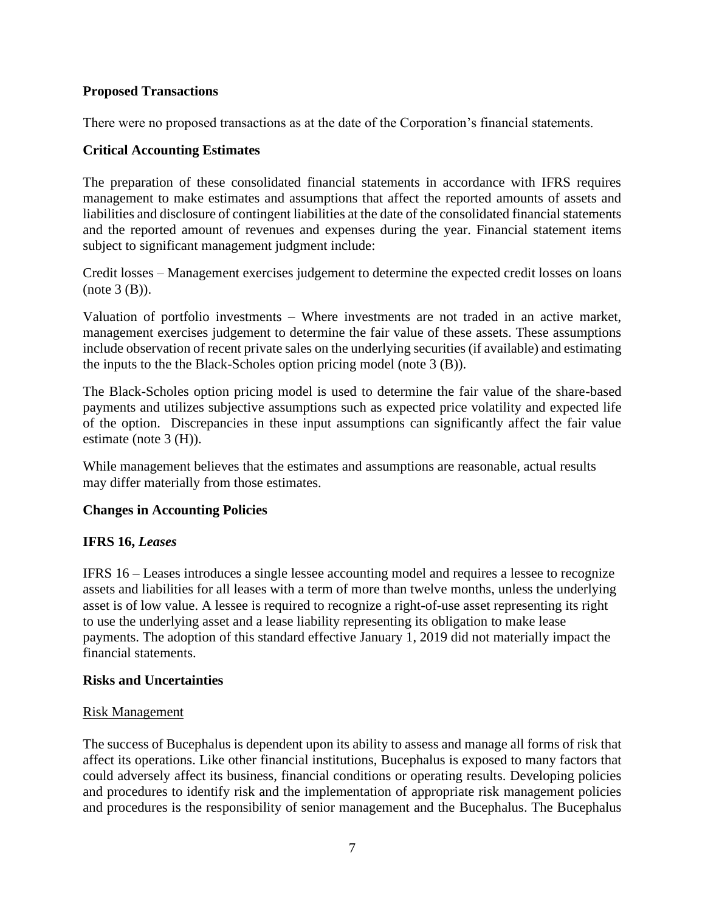## **Proposed Transactions**

There were no proposed transactions as at the date of the Corporation's financial statements.

## **Critical Accounting Estimates**

The preparation of these consolidated financial statements in accordance with IFRS requires management to make estimates and assumptions that affect the reported amounts of assets and liabilities and disclosure of contingent liabilities at the date of the consolidated financial statements and the reported amount of revenues and expenses during the year. Financial statement items subject to significant management judgment include:

Credit losses – Management exercises judgement to determine the expected credit losses on loans  $(note 3 (B)).$ 

Valuation of portfolio investments – Where investments are not traded in an active market, management exercises judgement to determine the fair value of these assets. These assumptions include observation of recent private sales on the underlying securities (if available) and estimating the inputs to the the Black-Scholes option pricing model (note 3 (B)).

The Black-Scholes option pricing model is used to determine the fair value of the share-based payments and utilizes subjective assumptions such as expected price volatility and expected life of the option. Discrepancies in these input assumptions can significantly affect the fair value estimate (note 3 (H)).

While management believes that the estimates and assumptions are reasonable, actual results may differ materially from those estimates.

### **Changes in Accounting Policies**

# **IFRS 16,** *Leases*

IFRS 16 – Leases introduces a single lessee accounting model and requires a lessee to recognize assets and liabilities for all leases with a term of more than twelve months, unless the underlying asset is of low value. A lessee is required to recognize a right-of-use asset representing its right to use the underlying asset and a lease liability representing its obligation to make lease payments. The adoption of this standard effective January 1, 2019 did not materially impact the financial statements.

### **Risks and Uncertainties**

### Risk Management

The success of Bucephalus is dependent upon its ability to assess and manage all forms of risk that affect its operations. Like other financial institutions, Bucephalus is exposed to many factors that could adversely affect its business, financial conditions or operating results. Developing policies and procedures to identify risk and the implementation of appropriate risk management policies and procedures is the responsibility of senior management and the Bucephalus. The Bucephalus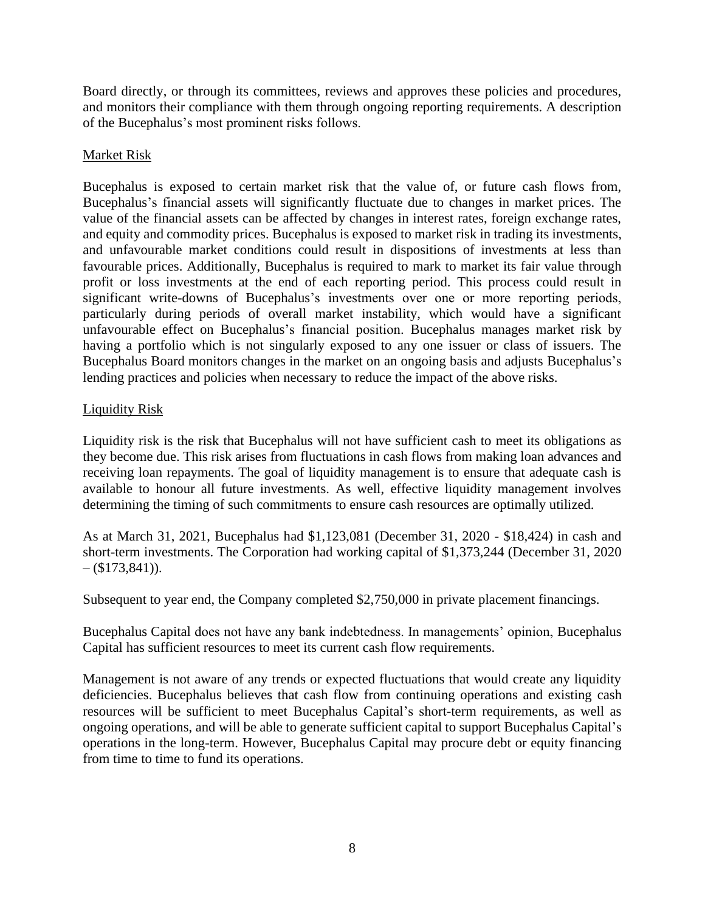Board directly, or through its committees, reviews and approves these policies and procedures, and monitors their compliance with them through ongoing reporting requirements. A description of the Bucephalus's most prominent risks follows.

## Market Risk

Bucephalus is exposed to certain market risk that the value of, or future cash flows from, Bucephalus's financial assets will significantly fluctuate due to changes in market prices. The value of the financial assets can be affected by changes in interest rates, foreign exchange rates, and equity and commodity prices. Bucephalus is exposed to market risk in trading its investments, and unfavourable market conditions could result in dispositions of investments at less than favourable prices. Additionally, Bucephalus is required to mark to market its fair value through profit or loss investments at the end of each reporting period. This process could result in significant write-downs of Bucephalus's investments over one or more reporting periods, particularly during periods of overall market instability, which would have a significant unfavourable effect on Bucephalus's financial position. Bucephalus manages market risk by having a portfolio which is not singularly exposed to any one issuer or class of issuers. The Bucephalus Board monitors changes in the market on an ongoing basis and adjusts Bucephalus's lending practices and policies when necessary to reduce the impact of the above risks.

### Liquidity Risk

Liquidity risk is the risk that Bucephalus will not have sufficient cash to meet its obligations as they become due. This risk arises from fluctuations in cash flows from making loan advances and receiving loan repayments. The goal of liquidity management is to ensure that adequate cash is available to honour all future investments. As well, effective liquidity management involves determining the timing of such commitments to ensure cash resources are optimally utilized.

As at March 31, 2021, Bucephalus had \$1,123,081 (December 31, 2020 - \$18,424) in cash and short-term investments. The Corporation had working capital of \$1,373,244 (December 31, 2020  $-$  (\$173,841)).

Subsequent to year end, the Company completed \$2,750,000 in private placement financings.

Bucephalus Capital does not have any bank indebtedness. In managements' opinion, Bucephalus Capital has sufficient resources to meet its current cash flow requirements.

Management is not aware of any trends or expected fluctuations that would create any liquidity deficiencies. Bucephalus believes that cash flow from continuing operations and existing cash resources will be sufficient to meet Bucephalus Capital's short-term requirements, as well as ongoing operations, and will be able to generate sufficient capital to support Bucephalus Capital's operations in the long-term. However, Bucephalus Capital may procure debt or equity financing from time to time to fund its operations.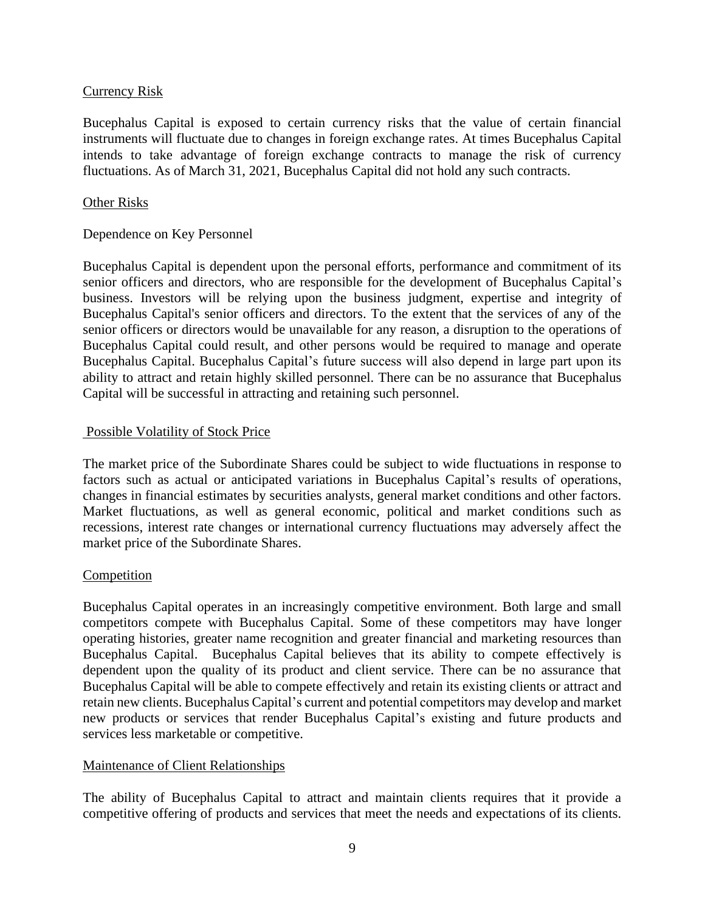### Currency Risk

Bucephalus Capital is exposed to certain currency risks that the value of certain financial instruments will fluctuate due to changes in foreign exchange rates. At times Bucephalus Capital intends to take advantage of foreign exchange contracts to manage the risk of currency fluctuations. As of March 31, 2021, Bucephalus Capital did not hold any such contracts.

#### Other Risks

### Dependence on Key Personnel

Bucephalus Capital is dependent upon the personal efforts, performance and commitment of its senior officers and directors, who are responsible for the development of Bucephalus Capital's business. Investors will be relying upon the business judgment, expertise and integrity of Bucephalus Capital's senior officers and directors. To the extent that the services of any of the senior officers or directors would be unavailable for any reason, a disruption to the operations of Bucephalus Capital could result, and other persons would be required to manage and operate Bucephalus Capital. Bucephalus Capital's future success will also depend in large part upon its ability to attract and retain highly skilled personnel. There can be no assurance that Bucephalus Capital will be successful in attracting and retaining such personnel.

### Possible Volatility of Stock Price

The market price of the Subordinate Shares could be subject to wide fluctuations in response to factors such as actual or anticipated variations in Bucephalus Capital's results of operations, changes in financial estimates by securities analysts, general market conditions and other factors. Market fluctuations, as well as general economic, political and market conditions such as recessions, interest rate changes or international currency fluctuations may adversely affect the market price of the Subordinate Shares.

### **Competition**

Bucephalus Capital operates in an increasingly competitive environment. Both large and small competitors compete with Bucephalus Capital. Some of these competitors may have longer operating histories, greater name recognition and greater financial and marketing resources than Bucephalus Capital. Bucephalus Capital believes that its ability to compete effectively is dependent upon the quality of its product and client service. There can be no assurance that Bucephalus Capital will be able to compete effectively and retain its existing clients or attract and retain new clients. Bucephalus Capital's current and potential competitors may develop and market new products or services that render Bucephalus Capital's existing and future products and services less marketable or competitive.

### Maintenance of Client Relationships

The ability of Bucephalus Capital to attract and maintain clients requires that it provide a competitive offering of products and services that meet the needs and expectations of its clients.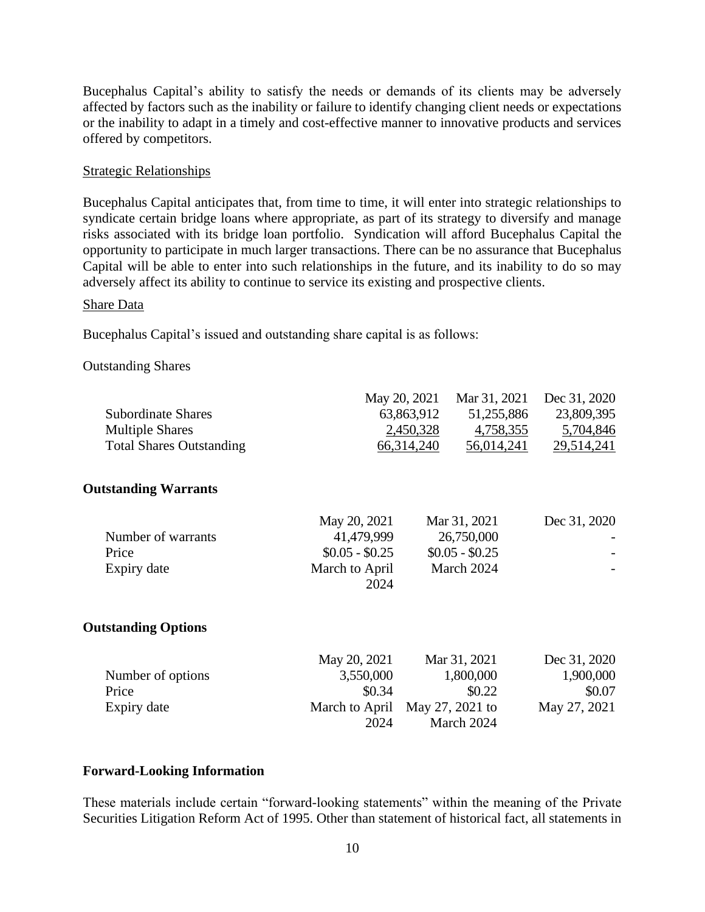Bucephalus Capital's ability to satisfy the needs or demands of its clients may be adversely affected by factors such as the inability or failure to identify changing client needs or expectations or the inability to adapt in a timely and cost-effective manner to innovative products and services offered by competitors.

### Strategic Relationships

Bucephalus Capital anticipates that, from time to time, it will enter into strategic relationships to syndicate certain bridge loans where appropriate, as part of its strategy to diversify and manage risks associated with its bridge loan portfolio. Syndication will afford Bucephalus Capital the opportunity to participate in much larger transactions. There can be no assurance that Bucephalus Capital will be able to enter into such relationships in the future, and its inability to do so may adversely affect its ability to continue to service its existing and prospective clients.

#### Share Data

Bucephalus Capital's issued and outstanding share capital is as follows:

### Outstanding Shares

|                          |                               | Dec 31, 2020                                                                                                                          |
|--------------------------|-------------------------------|---------------------------------------------------------------------------------------------------------------------------------------|
| 63,863,912               |                               | 23,809,395                                                                                                                            |
|                          |                               | 4,758,355<br>5,704,846                                                                                                                |
| 66,314,240<br>56,014,241 |                               | 29,514,241                                                                                                                            |
|                          |                               |                                                                                                                                       |
| May 20, 2021             | Mar 31, 2021                  | Dec 31, 2020                                                                                                                          |
|                          |                               |                                                                                                                                       |
|                          |                               |                                                                                                                                       |
| March to April<br>2024   |                               |                                                                                                                                       |
|                          |                               |                                                                                                                                       |
| May 20, 2021             | Mar 31, 2021                  | Dec 31, 2020                                                                                                                          |
| 3,550,000                |                               | 1,900,000                                                                                                                             |
| \$0.34                   | \$0.22                        | \$0.07                                                                                                                                |
|                          | May 27, 2021 to               | May 27, 2021                                                                                                                          |
| 2024                     | March 2024                    |                                                                                                                                       |
|                          | 41,479,999<br>$$0.05 - $0.25$ | May 20, 2021<br>Mar 31, 2021<br>51,255,886<br>2,450,328<br>26,750,000<br>$$0.05 - $0.25$<br>March 2024<br>1,800,000<br>March to April |

### **Forward-Looking Information**

These materials include certain "forward-looking statements" within the meaning of the Private Securities Litigation Reform Act of 1995. Other than statement of historical fact, all statements in